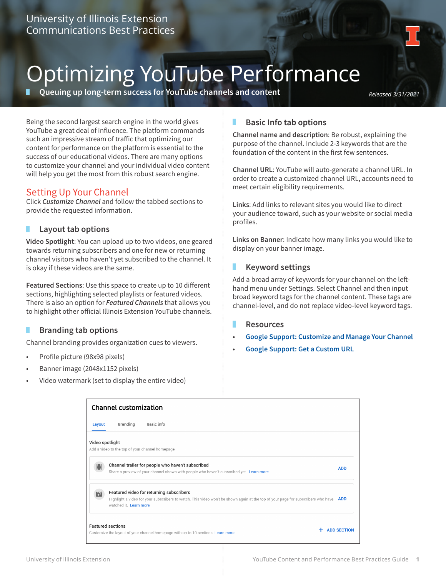

# Optimizing YouTube Performance

**Queuing up long-term success for YouTube channels and content** *Released 3/31/2021* 

Being the second largest search engine in the world gives YouTube a great deal of influence. The platform commands such an impressive stream of traffic that optimizing our content for performance on the platform is essential to the success of our educational videos. There are many options to customize your channel and your individual video content will help you get the most from this robust search engine.

# Setting Up Your Channel

Click *Customize Channel* and follow the tabbed sections to provide the requested information.

# **Layout tab options**

**Video Spotlight**: You can upload up to two videos, one geared towards returning subscribers and one for new or returning channel visitors who haven't yet subscribed to the channel. It is okay if these videos are the same.

**Featured Sections**: Use this space to create up to 10 different sections, highlighting selected playlists or featured videos. There is also an option for *Featured Channels* that allows you to highlight other official Illinois Extension YouTube channels.

# **Branding tab options**

Channel branding provides organization cues to viewers.

- Profile picture (98x98 pixels)
- Banner image (2048x1152 pixels)
- Video watermark (set to display the entire video)

## **Basic Info tab options** п

**Channel name and description**: Be robust, explaining the purpose of the channel. Include 2-3 keywords that are the foundation of the content in the first few sentences.

**Channel URL**: YouTube will auto-generate a channel URL. In order to create a customized channel URL, accounts need to meet certain eligibility requirements.

**Links**: Add links to relevant sites you would like to direct your audience toward, such as your website or social media profiles.

**Links on Banner**: Indicate how many links you would like to display on your banner image.

# **Keyword settings**

Add a broad array of keywords for your channel on the lefthand menu under Settings. Select Channel and then input broad keyword tags for the channel content. These tags are channel-level, and do not replace video-level keyword tags.

## **Resources**

- **• Google Support: Customize and Manage Your Channel**
- **• Google Support: Get a Custom URL**

| <b>Channel customization</b> |                                                                                                                                                                                                             |                    |  |  |  |  |
|------------------------------|-------------------------------------------------------------------------------------------------------------------------------------------------------------------------------------------------------------|--------------------|--|--|--|--|
| Layout                       | Basic info<br><b>Branding</b>                                                                                                                                                                               |                    |  |  |  |  |
| Video spotlight              | Add a video to the top of your channel homepage                                                                                                                                                             |                    |  |  |  |  |
| ▦                            | Channel trailer for people who haven't subscribed<br>Share a preview of your channel shown with people who haven't subscribed yet. Learn more                                                               | <b>ADD</b>         |  |  |  |  |
| w                            | Featured video for returning subscribers<br>Highlight a video for your subscribers to watch. This video won't be shown again at the top of your page for subscribers who have ADD<br>watched it. Learn more |                    |  |  |  |  |
|                              | <b>Featured sections</b><br>Customize the layout of your channel homepage with up to 10 sections. Learn more                                                                                                | <b>ADD SECTION</b> |  |  |  |  |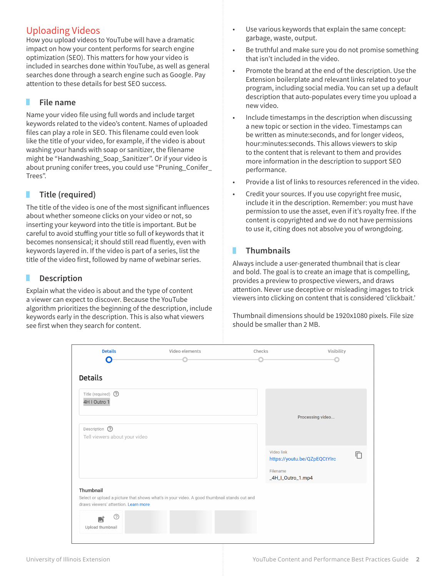# Uploading Videos

How you upload videos to YouTube will have a dramatic impact on how your content performs for search engine optimization (SEO). This matters for how your video is included in searches done within YouTube, as well as general searches done through a search engine such as Google. Pay attention to these details for best SEO success.

# **File name**

Name your video file using full words and include target keywords related to the video's content. Names of uploaded files can play a role in SEO. This filename could even look like the title of your video, for example, if the video is about washing your hands with soap or sanitizer, the filename might be "Handwashing\_Soap\_Sanitizer". Or if your video is about pruning conifer trees, you could use "Pruning\_Conifer\_ Trees".

## **Title (required)** ٠

The title of the video is one of the most significant influences about whether someone clicks on your video or not, so inserting your keyword into the title is important. But be careful to avoid stuffing your title so full of keywords that it becomes nonsensical; it should still read fluently, even with keywords layered in. If the video is part of a series, list the title of the video first, followed by name of webinar series.

# **Description**

Explain what the video is about and the type of content a viewer can expect to discover. Because the YouTube algorithm prioritizes the beginning of the description, include keywords early in the description. This is also what viewers see first when they search for content.

- Use various keywords that explain the same concept: garbage, waste, output.
- Be truthful and make sure you do not promise something that isn't included in the video.
- Promote the brand at the end of the description. Use the Extension boilerplate and relevant links related to your program, including social media. You can set up a default description that auto-populates every time you upload a new video.
- Include timestamps in the description when discussing a new topic or section in the video. Timestamps can be written as minute:seconds, and for longer videos, hour:minutes:seconds. This allows viewers to skip to the content that is relevant to them and provides more information in the description to support SEO performance.
- Provide a list of links to resources referenced in the video.
- Credit your sources. If you use copyright free music, include it in the description. Remember: you must have permission to use the asset, even if it's royalty free. If the content is copyrighted and we do not have permissions to use it, citing does not absolve you of wrongdoing.

## **Thumbnails** п

Always include a user-generated thumbnail that is clear and bold. The goal is to create an image that is compelling, provides a preview to prospective viewers, and draws attention. Never use deceptive or misleading images to trick viewers into clicking on content that is considered 'clickbait.'

Thumbnail dimensions should be 1920x1080 pixels. File size should be smaller than 2 MB.

| <b>Details</b><br>O                               | Video elements                                                                              | Checks                                      | Visibility                        |
|---------------------------------------------------|---------------------------------------------------------------------------------------------|---------------------------------------------|-----------------------------------|
| <b>Details</b>                                    |                                                                                             |                                             |                                   |
| Title (required) $\circled{?}$<br>4H I Outro 1    |                                                                                             |                                             | Processing video                  |
| Description (?)<br>Tell viewers about your video  |                                                                                             |                                             |                                   |
|                                                   |                                                                                             | Video link<br>Filename<br>_4H_I_Outro_1.mp4 | m<br>https://youtu.be/QZpEQCtYIrc |
| Thumbnail<br>draws viewers' attention. Learn more | Select or upload a picture that shows what's in your video. A good thumbnail stands out and |                                             |                                   |
| ⊘<br>咸<br>Upload thumbnail                        |                                                                                             |                                             |                                   |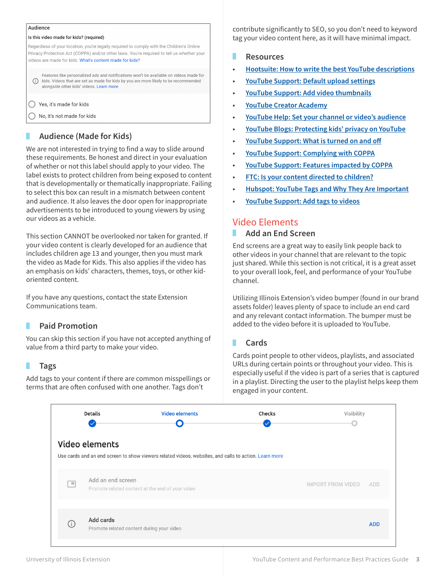## Audience

## Is this video made for kids? (required)

Regardless of your location, you're legally required to comply with the Children's Online Privacy Protection Act (COPPA) and/or other laws. You're required to tell us whether your videos are made for kids. What's content made for kids?

Features like personalized ads and notifications won't be available on videos made for (i) kids. Videos that are set as made for kids by you are more likely to be recommended alongside other kids' videos. Learn more

## ◯ Yes, it's made for kids

No, it's not made for kids

# **Audience (Made for Kids)**

We are not interested in trying to find a way to slide around these requirements. Be honest and direct in your evaluation of whether or not this label should apply to your video. The label exists to protect children from being exposed to content that is developmentally or thematically inappropriate. Failing to select this box can result in a mismatch between content and audience. It also leaves the door open for inappropriate advertisements to be introduced to young viewers by using our videos as a vehicle.

This section CANNOT be overlooked nor taken for granted. If your video content is clearly developed for an audience that includes children age 13 and younger, then you must mark the video as Made for Kids. This also applies if the video has an emphasis on kids' characters, themes, toys, or other kidoriented content.

If you have any questions, contact the state Extension Communications team.

# **Paid Promotion**

You can skip this section if you have not accepted anything of value from a third party to make your video.

# **Tags**

Add tags to your content if there are common misspellings or terms that are often confused with one another. Tags don't

contribute significantly to SEO, so you don't need to keyword tag your video content here, as it will have minimal impact.

## **Resources**

- **• Hootsuite: How to write the best YouTube descriptions**
- **• YouTube Support: Default upload settings**
- **• YouTube Support: Add video thumbnails**
- **• YouTube Creator Academy**
- **• YouTube Help: Set your channel or video's audience**
- **• YouTube Blogs: Protecting kids' privacy on YouTube**
- **• YouTube Support: What is turned on and off**
- **• YouTube Support: Complying with COPPA**
- **• YouTube Support: Features impacted by COPPA**
- **• FTC: Is your content directed to children?**
- **• Hubspot: YouTube Tags and Why They Are Important**
- **• YouTube Support: Add tags to videos**

# Video Elements

#### **Add an End Screen** п

End screens are a great way to easily link people back to other videos in your channel that are relevant to the topic just shared. While this section is not critical, it is a great asset to your overall look, feel, and performance of your YouTube channel.

Utilizing Illinois Extension's video bumper (found in our brand assets folder) leaves plenty of space to include an end card and any relevant contact information. The bumper must be added to the video before it is uploaded to YouTube.

#### п **Cards**

Cards point people to other videos, playlists, and associated URLs during certain points or throughout your video. This is especially useful if the video is part of a series that is captured in a playlist. Directing the user to the playlist helps keep them engaged in your content.